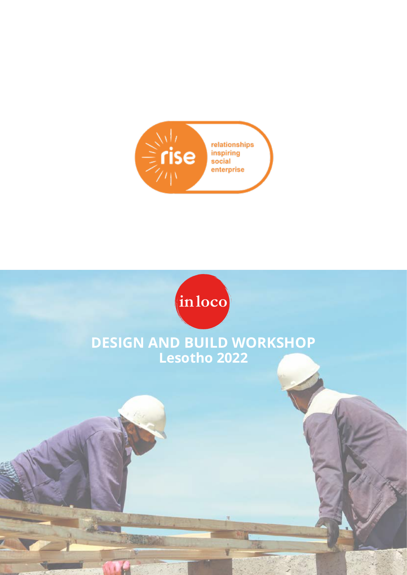

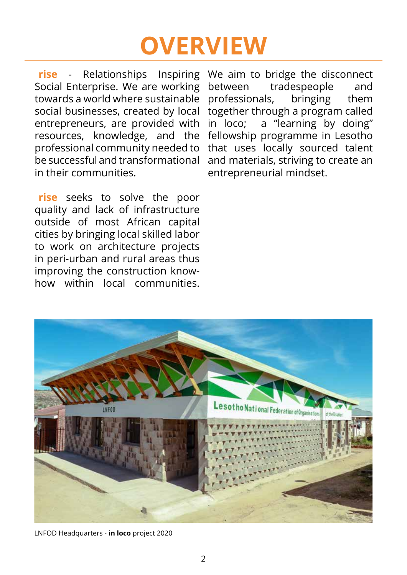### **OVERVIEW**

**rise** - Relationships Inspiring Social Enterprise. We are working towards a world where sustainable social businesses, created by local entrepreneurs, are provided with resources, knowledge, and the professional community needed to be successful and transformational in their communities.

**rise** seeks to solve the poor quality and lack of infrastructure outside of most African capital cities by bringing local skilled labor to work on architecture projects in peri-urban and rural areas thus improving the construction knowhow within local communities.

We aim to bridge the disconnect between tradespeople and professionals, bringing them together through a program called in loco; a "learning by doing" fellowship programme in Lesotho that uses locally sourced talent and materials, striving to create an entrepreneurial mindset.



LNFOD Headquarters - **in loco** project 2020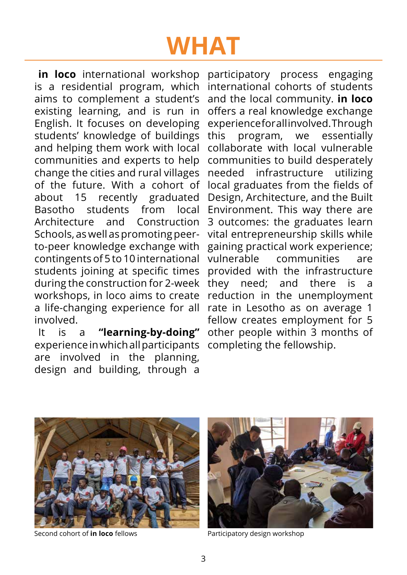### **WHAT**

**in loco** international workshop is a residential program, which aims to complement a student's existing learning, and is run in English. It focuses on developing students' knowledge of buildings and helping them work with local communities and experts to help change the cities and rural villages of the future. With a cohort of about 15 recently graduated Basotho students from local Architecture and Construction Schools, as well as promoting peerto-peer knowledge exchange with contingents of 5 to 10 international students joining at specific times during the construction for 2-week workshops, in loco aims to create a life-changing experience for all involved.

It is a **"learning-by-doing"** experience in which all participants are involved in the planning, design and building, through a

participatory process engaging international cohorts of students and the local community. **in loco** offers a real knowledge exchange experience for all involved. Through this program, we essentially collaborate with local vulnerable communities to build desperately needed infrastructure utilizing local graduates from the fields of Design, Architecture, and the Built Environment. This way there are 3 outcomes: the graduates learn vital entrepreneurship skills while gaining practical work experience; vulnerable communities are provided with the infrastructure they need; and there is a reduction in the unemployment rate in Lesotho as on average 1 fellow creates employment for 5 other people within 3 months of completing the fellowship.



Second cohort of **in loco** fellows **Participatory design workshop** 

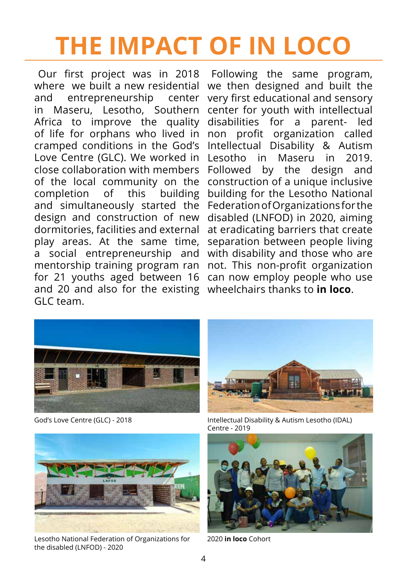### **THE IMPACT OF IN LOCO**

Our first project was in 2018 where we built a new residential and entrepreneurship center in Maseru, Lesotho, Southern Africa to improve the quality of life for orphans who lived in cramped conditions in the God's Love Centre (GLC). We worked in close collaboration with members of the local community on the completion of this building and simultaneously started the design and construction of new dormitories, facilities and external play areas. At the same time, a social entrepreneurship and mentorship training program ran for 21 youths aged between 16 and 20 and also for the existing GLC team.

Following the same program, we then designed and built the very first educational and sensory center for youth with intellectual disabilities for a parent- led non profit organization called Intellectual Disability & Autism Lesotho in Maseru in 2019. Followed by the design and construction of a unique inclusive building for the Lesotho National Federation of Organizations for the disabled (LNFOD) in 2020, aiming at eradicating barriers that create separation between people living with disability and those who are not. This non-profit organization can now employ people who use wheelchairs thanks to **in loco**.





Lesotho National Federation of Organizations for the disabled (LNFOD) - 2020



God's Love Centre (GLC) - 2018 Intellectual Disability & Autism Lesotho (IDAL) Centre - 2019



2020 **in loco** Cohort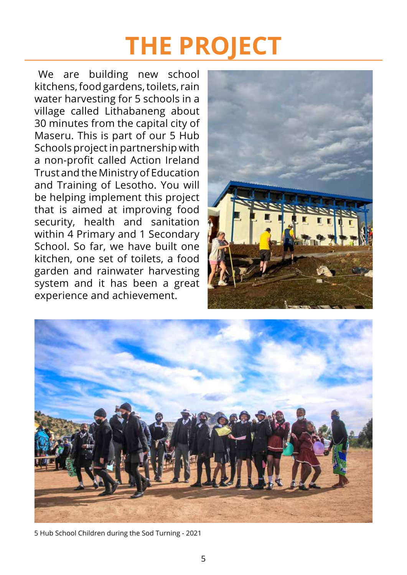### **THE PROJECT**

We are building new school kitchens, food gardens, toilets, rain water harvesting for 5 schools in a village called Lithabaneng about 30 minutes from the capital city of Maseru. This is part of our 5 Hub Schools project in partnership with a non-profit called Action Ireland Trust and the Ministry of Education and Training of Lesotho. You will be helping implement this project that is aimed at improving food security, health and sanitation within 4 Primary and 1 Secondary School. So far, we have built one kitchen, one set of toilets, a food garden and rainwater harvesting system and it has been a great experience and achievement.





5 Hub School Children during the Sod Turning - 2021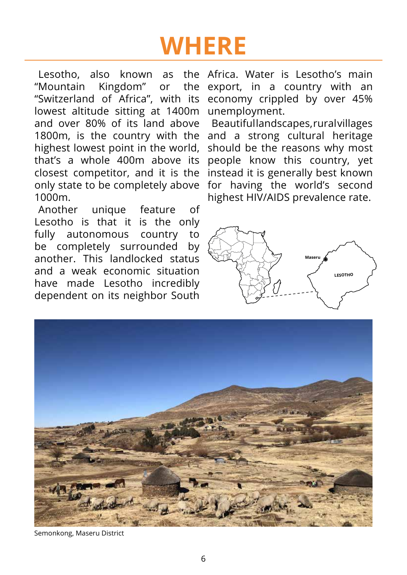### **WHERE**

"Mountain Kingdom" or the "Switzerland of Africa", with its economy crippled by over 45% lowest altitude sitting at 1400m and over 80% of its land above 1800m, is the country with the and a strong cultural heritage highest lowest point in the world, that's a whole 400m above its people know this country, yet closest competitor, and it is the only state to be completely above 1000m.

Another unique feature of Lesotho is that it is the only fully autonomous country to be completely surrounded by another. This landlocked status and a weak economic situation have made Lesotho incredibly dependent on its neighbor South

Lesotho, also known as the Africa. Water is Lesotho's main export, in a country with an unemployment.

> Beautiful landscapes, rural villages should be the reasons why most instead it is generally best known for having the world's second highest HIV/AIDS prevalence rate.





Semonkong, Maseru District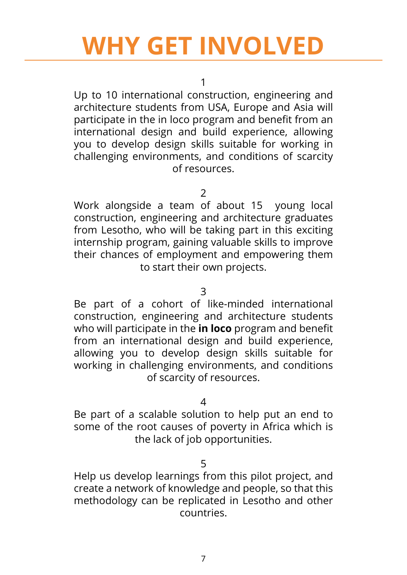### **WHY GET INVOLVED**

1

Up to 10 international construction, engineering and architecture students from USA, Europe and Asia will participate in the in loco program and benefit from an international design and build experience, allowing you to develop design skills suitable for working in challenging environments, and conditions of scarcity of resources.

2

Work alongside a team of about 15 young local construction, engineering and architecture graduates from Lesotho, who will be taking part in this exciting internship program, gaining valuable skills to improve their chances of employment and empowering them to start their own projects.

3

Be part of a cohort of like-minded international construction, engineering and architecture students who will participate in the **in loco** program and benefit from an international design and build experience, allowing you to develop design skills suitable for working in challenging environments, and conditions of scarcity of resources.

4

Be part of a scalable solution to help put an end to some of the root causes of poverty in Africa which is the lack of job opportunities.

5

Help us develop learnings from this pilot project, and create a network of knowledge and people, so that this methodology can be replicated in Lesotho and other countries.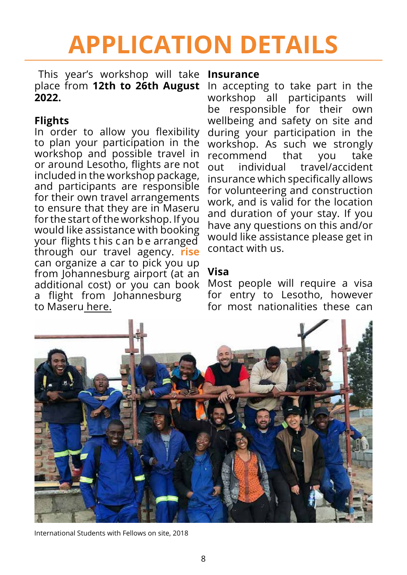### **APPLICATION DETAILS**

This year's workshop will take place from **12th to 26th August 2022.**

#### **Flights**

In order to allow you flexibility to plan your participation in the workshop and possible travel in or around Lesotho, flights are not included in the workshop package, and participants are responsible for their own travel arrangements to ensure that they are in Maseru for the start of the workshop. If you would like assistance with booking your flights t his c an b e arranged through our travel agency. **rise** can organize a car to pick you up from Johannesburg airport (at an additional cost) or you can book a flight from Johannesburg to Mase[ru her](https://www.flyairlink.com/)e.

#### **Insurance**

In accepting to take part in the workshop all participants will be responsible for their own wellbeing and safety on site and during your participation in the workshop. As such we strongly recommend that you take out individual travel/accident insurance which specifically allows for volunteering and construction work, and is valid for the location and duration of your stay. If you have any questions on this and/or would like assistance please get in contact with us.

#### **Visa**

Most people will require a visa for entry to Lesotho, however for most nationalities these can



International Students with Fellows on site, 2018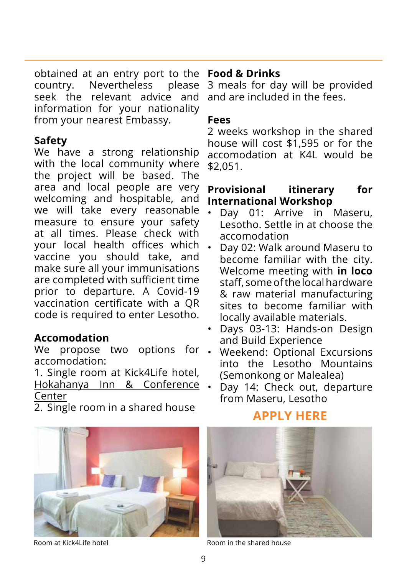obtained at an entry port to the **Food & Drinks** country. Nevertheless please seek the relevant advice and information for your nationality from your nearest Embassy.

#### **Safety**

We have a strong relationship with the local community where the project will be based. The area and local people are very welcoming and hospitable, and we will take every reasonable measure to ensure your safety at all times. Please check with your local health offices which vaccine you should take, and make sure all your immunisations are completed with sufficient time prior to departure. A Covid-19 vaccination certificate with a QR code is required to enter Lesotho.

### **Accomodation**

We propose two options for accomodation:

1. Single room at Kick4Life hotel, [Hokahanya Inn & Conference](https://www.kick4life.org/k4l-centre/hokahanya/) Center

2. Single room [in a shared house](https://it.airbnb.com/rooms/26768726?_set_bev_on_new_domain=1651822661_ZjJiOTY3NjRiM2I0&source_impression_id=p3_1651822987_x0sbqK5pb2jWUZMX)

3 meals for day will be provided and are included in the fees.

#### **Fees**

2 weeks workshop in the shared house will cost \$1,595 or for the accomodation at K4L would be \$2,051.

#### **Provisional itinerary for International Workshop**

- Day 01: Arrive in Maseru, Lesotho. Settle in at choose the accomodation
- Day 02: Walk around Maseru to become familiar with the city. Welcome meeting with **in loco** staff, some of the local hardware & raw material manufacturing sites to become familiar with locally available materials.
- Days 03-13: Hands-on Design and Build Experience
- Weekend: Optional Excursions into the Lesotho Mountains (Semonkong or Malealea)
- Day 14: Check out, departure from Maseru, Lesotho



#### **APPLY HERE**



Room at Kick4Life hotel Room in the shared house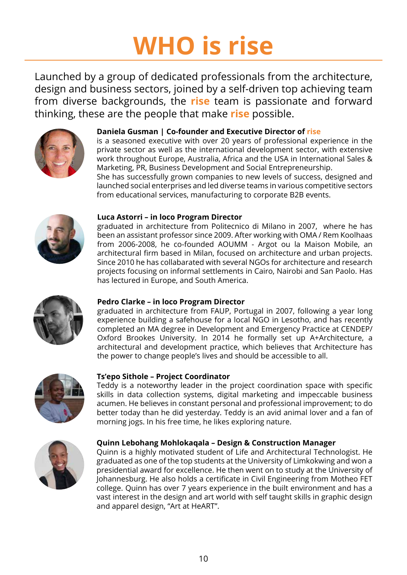## **WHO is rise**

Launched by a group of dedicated professionals from the architecture, design and business sectors, joined by a self-driven top achieving team from diverse backgrounds, the **rise** team is passionate and forward thinking, these are the people that make **rise** possible.



#### **Daniela Gusman | Co-founder and Executive Director of rise**

is a seasoned executive with over 20 years of professional experience in the private sector as well as the international development sector, with extensive work throughout Europe, Australia, Africa and the USA in International Sales & Marketing, PR, Business Development and Social Entrepreneurship. She has successfully grown companies to new levels of success, designed and

launched social enterprises and led diverse teams in various competitive sectors from educational services, manufacturing to corporate B2B events.



#### **Luca Astorri – in loco Program Director**

graduated in architecture from Politecnico di Milano in 2007, where he has been an assistant professor since 2009. After working with OMA / Rem Koolhaas from 2006-2008, he co-founded AOUMM - Argot ou la Maison Mobile, an architectural firm based in Milan, focused on architecture and urban projects. Since 2010 he has collabarated with several NGOs for architecture and research projects focusing on informal settlements in Cairo, Nairobi and San Paolo. Has has lectured in Europe, and South America.



#### **Pedro Clarke – in loco Program Director**

graduated in architecture from FAUP, Portugal in 2007, following a year long experience building a safehouse for a local NGO in Lesotho, and has recently completed an MA degree in Development and Emergency Practice at CENDEP/ Oxford Brookes University. In 2014 he formally set up A+Architecture, a architectural and development practice, which believes that Architecture has the power to change people's lives and should be accessible to all.



#### **Ts'epo Sithole – Project Coordinator**

Teddy is a noteworthy leader in the project coordination space with specific skills in data collection systems, digital marketing and impeccable business acumen. He believes in constant personal and professional improvement; to do better today than he did yesterday. Teddy is an avid animal lover and a fan of morning jogs. In his free time, he likes exploring nature.



#### **Quinn Lebohang Mohlokaqala – Design & Construction Manager**

Quinn is a highly motivated student of Life and Architectural Technologist. He graduated as one of the top students at the University of Limkokwing and won a presidential award for excellence. He then went on to study at the University of Johannesburg. He also holds a certificate in Civil Engineering from Motheo FET college. Quinn has over 7 years experience in the built environment and has a vast interest in the design and art world with self taught skills in graphic design and apparel design, "Art at HeART".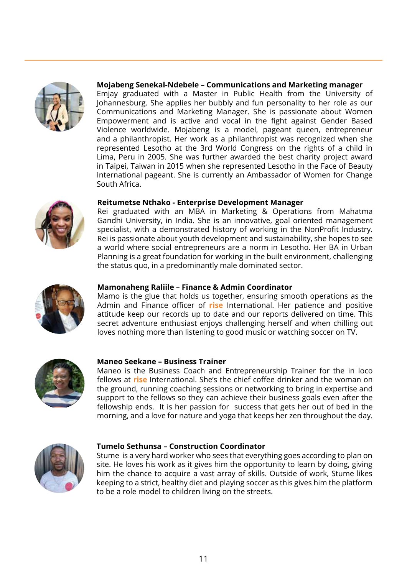

#### **Mojabeng Senekal-Ndebele – Communications and Marketing manager**

Emjay graduated with a Master in Public Health from the University of Johannesburg. She applies her bubbly and fun personality to her role as our Communications and Marketing Manager. She is passionate about Women Empowerment and is active and vocal in the fight against Gender Based Violence worldwide. Mojabeng is a model, pageant queen, entrepreneur and a philanthropist. Her work as a philanthropist was recognized when she represented Lesotho at the 3rd World Congress on the rights of a child in Lima, Peru in 2005. She was further awarded the best charity project award in Taipei, Taiwan in 2015 when she represented Lesotho in the Face of Beauty International pageant. She is currently an Ambassador of Women for Change South Africa.

#### **Reitumetse Nthako - Enterprise Development Manager**

Rei graduated with an MBA in Marketing & Operations from Mahatma Gandhi University, in India. She is an innovative, goal oriented management specialist, with a demonstrated history of working in the NonProfit Industry. Rei is passionate about youth development and sustainability, she hopes to see a world where social entrepreneurs are a norm in Lesotho. Her BA in Urban Planning is a great foundation for working in the built environment, challenging the status quo, in a predominantly male dominated sector.



#### **Mamonaheng Raliile – Finance & Admin Coordinator**

Mamo is the glue that holds us together, ensuring smooth operations as the Admin and Finance officer of **rise** International. Her patience and positive attitude keep our records up to date and our reports delivered on time. This secret adventure enthusiast enjoys challenging herself and when chilling out loves nothing more than listening to good music or watching soccer on TV.



#### **Maneo Seekane – Business Trainer**

Maneo is the Business Coach and Entrepreneurship Trainer for the in loco fellows at **rise** International. She's the chief coffee drinker and the woman on the ground, running coaching sessions or networking to bring in expertise and support to the fellows so they can achieve their business goals even after the fellowship ends. It is her passion for success that gets her out of bed in the morning, and a love for nature and yoga that keeps her zen throughout the day.



#### **Tumelo Sethunsa – Construction Coordinator**

Stume is a very hard worker who sees that everything goes according to plan on site. He loves his work as it gives him the opportunity to learn by doing, giving him the chance to acquire a vast array of skills. Outside of work, Stume likes keeping to a strict, healthy diet and playing soccer as this gives him the platform to be a role model to children living on the streets.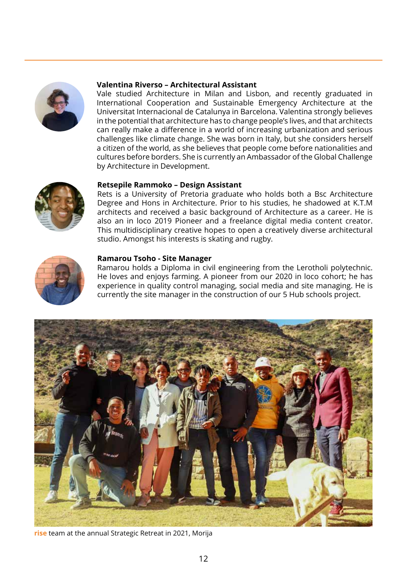

#### **Valentina Riverso – Architectural Assistant**

Vale studied Architecture in Milan and Lisbon, and recently graduated in International Cooperation and Sustainable Emergency Architecture at the Universitat Internacional de Catalunya in Barcelona. Valentina strongly believes in the potential that architecture has to change people's lives, and that architects can really make a difference in a world of increasing urbanization and serious challenges like climate change. She was born in Italy, but she considers herself a citizen of the world, as she believes that people come before nationalities and cultures before borders. She is currently an Ambassador of the Global Challenge by Architecture in Development.

#### **Retsepile Rammoko – Design Assistant**

Rets is a University of Pretoria graduate who holds both a Bsc Architecture Degree and Hons in Architecture. Prior to his studies, he shadowed at K.T.M architects and received a basic background of Architecture as a career. He is also an in loco 2019 Pioneer and a freelance digital media content creator. This multidisciplinary creative hopes to open a creatively diverse architectural studio. Amongst his interests is skating and rugby.



#### **Ramarou Tsoho - Site Manager**

Ramarou holds a Diploma in civil engineering from the Lerotholi polytechnic. He loves and enjoys farming. A pioneer from our 2020 in loco cohort; he has experience in quality control managing, social media and site managing. He is currently the site manager in the construction of our 5 Hub schools project.



**rise** team at the annual Strategic Retreat in 2021, Morija